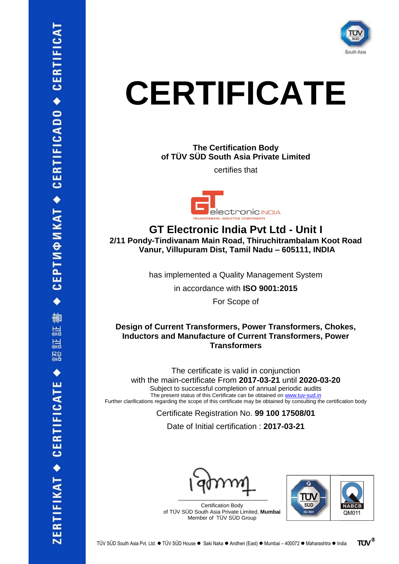

## **CERTIFICATE**

**The Certification Body of TÜV SÜD South Asia Private Limited**

certifies that



**GT Electronic India Pvt Ltd - Unit I 2/11 Pondy-Tindivanam Main Road, Thiruchitrambalam Koot Road Vanur, Villupuram Dist, Tamil Nadu – 605111, INDIA**

has implemented a Quality Management System

in accordance with **ISO 9001:2015**

For Scope of

## **Design of Current Transformers, Power Transformers, Chokes, Inductors and Manufacture of Current Transformers, Power Transformers**

The certificate is valid in conjunction with the main-certificate From **2017-03-21** until **2020-03-20** Subject to successful completion of annual periodic audits The present status of this Certificate can be obtained on [www.tuv-sud.in](http://www.tuv-sud.in/) Further clarifications regarding the scope of this certificate may be obtained by consulting the certification body

Certificate Registration No. **99 100 17508/01**

Date of Initial certification : **2017-03-21**





Certification Body of TÜV SÜD South Asia Private Limited, **Mumbai** Member of TÜV SÜD Group